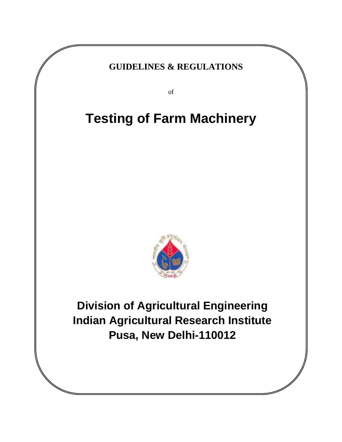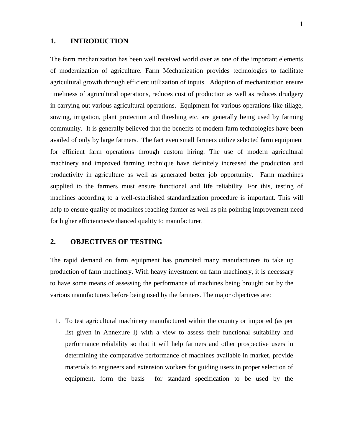#### **1. INTRODUCTION**

The farm mechanization has been well received world over as one of the important elements of modernization of agriculture. Farm Mechanization provides technologies to facilitate agricultural growth through efficient utilization of inputs. Adoption of mechanization ensure timeliness of agricultural operations, reduces cost of production as well as reduces drudgery in carrying out various agricultural operations. Equipment for various operations like tillage, sowing, irrigation, plant protection and threshing etc. are generally being used by farming community. It is generally believed that the benefits of modern farm technologies have been availed of only by large farmers. The fact even small farmers utilize selected farm equipment for efficient farm operations through custom hiring. The use of modern agricultural machinery and improved farming technique have definitely increased the production and productivity in agriculture as well as generated better job opportunity. Farm machines supplied to the farmers must ensure functional and life reliability. For this, testing of machines according to a well-established standardization procedure is important. This will help to ensure quality of machines reaching farmer as well as pin pointing improvement need for higher efficiencies/enhanced quality to manufacturer.

## **2. OBJECTIVES OF TESTING**

The rapid demand on farm equipment has promoted many manufacturers to take up production of farm machinery. With heavy investment on farm machinery, it is necessary to have some means of assessing the performance of machines being brought out by the various manufacturers before being used by the farmers. The major objectives are:

1. To test agricultural machinery manufactured within the country or imported (as per list given in Annexure I) with a view to assess their functional suitability and performance reliability so that it will help farmers and other prospective users in determining the comparative performance of machines available in market, provide materials to engineers and extension workers for guiding users in proper selection of equipment, form the basis for standard specification to be used by the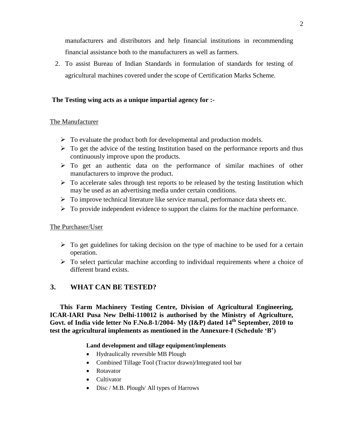manufacturers and distributors and help financial institutions in recommending financial assistance both to the manufacturers as well as farmers.

2. To assist Bureau of Indian Standards in formulation of standards for testing of agricultural machines covered under the scope of Certification Marks Scheme.

#### **The Testing wing acts as a unique impartial agency for :-**

#### The Manufacturer

- $\triangleright$  To evaluate the product both for developmental and production models.
- $\triangleright$  To get the advice of the testing Institution based on the performance reports and thus continuously improve upon the products.
- $\triangleright$  To get an authentic data on the performance of similar machines of other manufacturers to improve the product.
- $\triangleright$  To accelerate sales through test reports to be released by the testing Institution which may be used as an advertising media under certain conditions.
- $\triangleright$  To improve technical literature like service manual, performance data sheets etc.
- $\triangleright$  To provide independent evidence to support the claims for the machine performance.

#### The Purchaser/User

- $\triangleright$  To get guidelines for taking decision on the type of machine to be used for a certain operation.
- $\triangleright$  To select particular machine according to individual requirements where a choice of different brand exists.

#### **3. WHAT CAN BE TESTED?**

**This Farm Machinery Testing Centre, Division of Agricultural Engineering, ICAR-IARI Pusa New Delhi-110012 is authorised by the Ministry of Agriculture, Govt. of India vide letter No F.No.8-1/2004- My (I&P) dated 14th September, 2010 to test the agricultural implements as mentioned in the Annexure-I (Schedule 'B')** 

#### **Land development and tillage equipment/implements**

- Hydraulically reversible MB Plough
- Combined Tillage Tool (Tractor drawn)/Integrated tool bar
- Rotavator
- Cultivator
- Disc / M.B. Plough/ All types of Harrows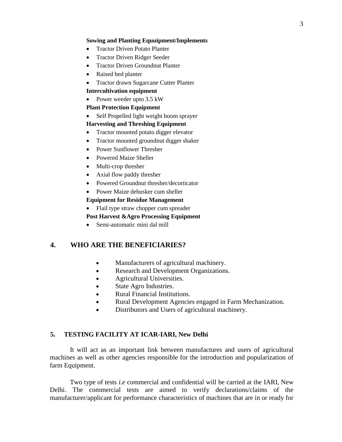#### **Sowing and Planting Equuipment/Implements**

- Tractor Driven Potato Planter
- Tractor Driven Ridger Seeder
- Tractor Driven Groundnut Planter
- Raised bed planter
- Tractor drawn Sugarcane Cutter Planter

#### **Intercultivation equipment**

• Power weeder upto 3.5 kW

#### **Plant Protection Equipment**

• Self Propelled light weight boom sprayer

#### **Harvesting and Threshing Equipment**

- Tractor mounted potato digger elevator
- Tractor mounted groundnut digger shaker
- Power Sunflower Thresher
- Powered Maize Sheller
- Multi-crop thresher
- Axial flow paddy thresher
- Powered Groundnut thresher/decorticator

## • Power Maize dehusker cum sheller

## **Equipment for Residue Management**

• Flail type straw chopper cum spreader

#### **Post Harvest &Agro Processing Equipment**

Semi-automatic mini dal mill

#### **4. WHO ARE THE BENEFICIARIES?**

- Manufacturers of agricultural machinery.
- Research and Development Organizations.
- Agricultural Universities.
- State Agro Industries.
- Rural Financial Institutions.
- Rural Development Agencies engaged in Farm Mechanization.
- Distributors and Users of agricultural machinery.

#### **5. TESTING FACILITY AT ICAR-IARI, New Delhi**

It will act as an important link between manufactures and users of agricultural machines as well as other agencies responsible for the introduction and popularization of farm Equipment.

Two type of tests *i.e* commercial and confidential will be carried at the IARI, New Delhi. The commercial tests are aimed to verify declarations/claims of the manufacturer/applicant for performance characteristics of machines that are in or ready for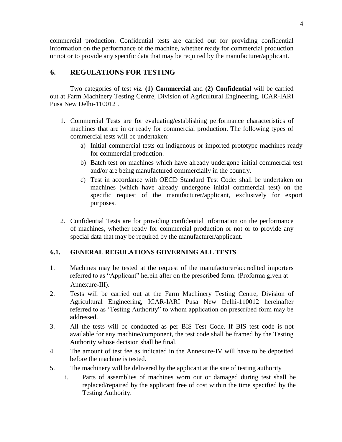commercial production. Confidential tests are carried out for providing confidential information on the performance of the machine, whether ready for commercial production or not or to provide any specific data that may be required by the manufacturer/applicant.

## **6. REGULATIONS FOR TESTING**

Two categories of test *viz.* **(1) Commercial** and **(2) Confidential** will be carried out at Farm Machinery Testing Centre, Division of Agricultural Engineering, ICAR-IARI Pusa New Delhi-110012 .

- 1. Commercial Tests are for evaluating/establishing performance characteristics of machines that are in or ready for commercial production. The following types of commercial tests will be undertaken:
	- a) Initial commercial tests on indigenous or imported prototype machines ready for commercial production.
	- b) Batch test on machines which have already undergone initial commercial test and/or are being manufactured commercially in the country.
	- c) Test in accordance with OECD Standard Test Code: shall be undertaken on machines (which have already undergone initial commercial test) on the specific request of the manufacturer/applicant, exclusively for export purposes.
- 2. Confidential Tests are for providing confidential information on the performance of machines, whether ready for commercial production or not or to provide any special data that may be required by the manufacturer/applicant.

## **6.1. GENERAL REGULATIONS GOVERNING ALL TESTS**

- 1. Machines may be tested at the request of the manufacturer/accredited importers referred to as "Applicant" herein after on the prescribed form. (Proforma given at Annexure-III).
- 2. Tests will be carried out at the Farm Machinery Testing Centre, Division of Agricultural Engineering, ICAR-IARI Pusa New Delhi-110012 hereinafter referred to as "Testing Authority" to whom application on prescribed form may be addressed.
- 3. All the tests will be conducted as per BIS Test Code. If BIS test code is not available for any machine/component, the test code shall be framed by the Testing Authority whose decision shall be final.
- 4. The amount of test fee as indicated in the Annexure-IV will have to be deposited before the machine is tested.
- 5. The machinery will be delivered by the applicant at the site of testing authority
	- i. Parts of assemblies of machines worn out or damaged during test shall be replaced/repaired by the applicant free of cost within the time specified by the Testing Authority.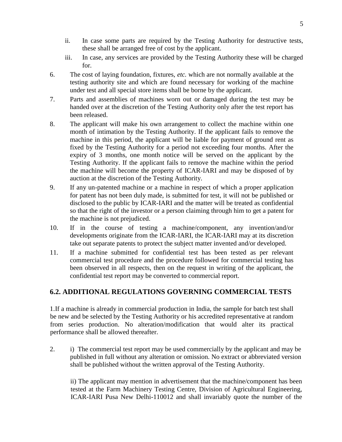- ii. In case some parts are required by the Testing Authority for destructive tests, these shall be arranged free of cost by the applicant.
- iii. In case, any services are provided by the Testing Authority these will be charged for.
- 6. The cost of laying foundation, fixtures, *etc.* which are not normally available at the testing authority site and which are found necessary for working of the machine under test and all special store items shall be borne by the applicant.
- 7. Parts and assemblies of machines worn out or damaged during the test may be handed over at the discretion of the Testing Authority only after the test report has been released.
- 8. The applicant will make his own arrangement to collect the machine within one month of intimation by the Testing Authority. If the applicant fails to remove the machine in this period, the applicant will be liable for payment of ground rent as fixed by the Testing Authority for a period not exceeding four months. After the expiry of 3 months, one month notice will be served on the applicant by the Testing Authority. If the applicant fails to remove the machine within the period the machine will become the property of ICAR-IARI and may be disposed of by auction at the discretion of the Testing Authority.
- 9. If any un-patented machine or a machine in respect of which a proper application for patent has not been duly made, is submitted for test, it will not be published or disclosed to the public by ICAR-IARI and the matter will be treated as confidential so that the right of the investor or a person claiming through him to get a patent for the machine is not prejudiced.
- 10. If in the course of testing a machine/component, any invention/and/or developments originate from the ICAR-IARI, the ICAR-IARI may at its discretion take out separate patents to protect the subject matter invented and/or developed.
- 11. If a machine submitted for confidential test has been tested as per relevant commercial test procedure and the procedure followed for commercial testing has been observed in all respects, then on the request in writing of the applicant, the confidential test report may be converted to commercial report.

## **6.2. ADDITIONAL REGULATIONS GOVERNING COMMERCIAL TESTS**

1.If a machine is already in commercial production in India, the sample for batch test shall be new and be selected by the Testing Authority or his accredited representative at random from series production. No alteration/modification that would alter its practical performance shall be allowed thereafter.

2. i) The commercial test report may be used commercially by the applicant and may be published in full without any alteration or omission. No extract or abbreviated version shall be published without the written approval of the Testing Authority.

ii) The applicant may mention in advertisement that the machine/component has been tested at the Farm Machinery Testing Centre, Division of Agricultural Engineering, ICAR-IARI Pusa New Delhi-110012 and shall invariably quote the number of the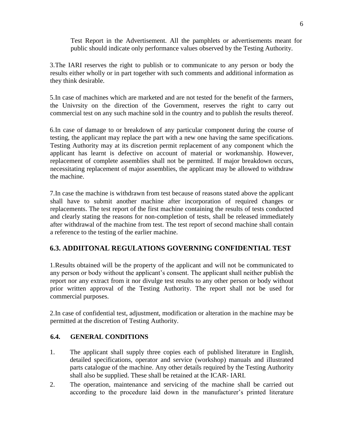Test Report in the Advertisement. All the pamphlets or advertisements meant for public should indicate only performance values observed by the Testing Authority.

3.The IARI reserves the right to publish or to communicate to any person or body the results either wholly or in part together with such comments and additional information as they think desirable.

5.In case of machines which are marketed and are not tested for the benefit of the farmers, the Univrsity on the direction of the Government, reserves the right to carry out commercial test on any such machine sold in the country and to publish the results thereof.

6.In case of damage to or breakdown of any particular component during the course of testing, the applicant may replace the part with a new one having the same specifications. Testing Authority may at its discretion permit replacement of any component which the applicant has learnt is defective on account of material or workmanship. However, replacement of complete assemblies shall not be permitted. If major breakdown occurs, necessitating replacement of major assemblies, the applicant may be allowed to withdraw the machine.

7.In case the machine is withdrawn from test because of reasons stated above the applicant shall have to submit another machine after incorporation of required changes or replacements. The test report of the first machine containing the results of tests conducted and clearly stating the reasons for non-completion of tests, shall be released immediately after withdrawal of the machine from test. The test report of second machine shall contain a reference to the testing of the earlier machine.

## **6.3. ADDIITONAL REGULATIONS GOVERNING CONFIDENTIAL TEST**

1.Results obtained will be the property of the applicant and will not be communicated to any person or body without the applicant"s consent. The applicant shall neither publish the report nor any extract from it nor divulge test results to any other person or body without prior written approval of the Testing Authority. The report shall not be used for commercial purposes.

2.In case of confidential test, adjustment, modification or alteration in the machine may be permitted at the discretion of Testing Authority.

#### **6.4. GENERAL CONDITIONS**

- 1. The applicant shall supply three copies each of published literature in English, detailed specifications, operator and service (workshop) manuals and illustrated parts catalogue of the machine. Any other details required by the Testing Authority shall also be supplied. These shall be retained at the ICAR- IARI.
- 2. The operation, maintenance and servicing of the machine shall be carried out according to the procedure laid down in the manufacturer's printed literature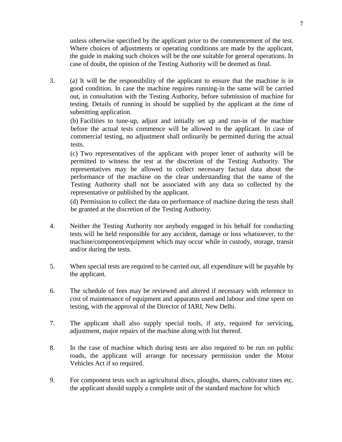unless otherwise specified by the applicant prior to the commencement of the test. Where choices of adjustments or operating conditions are made by the applicant, the guide in making such choices will be the one suitable for general operations. In case of doubt, the opinion of the Testing Authority will be deemed as final.

3. (a) It will be the responsibility of the applicant to ensure that the machine is in good condition. In case the machine requires running-in the same will be carried out, in consultation with the Testing Authority, before submission of machine for testing. Details of running in should be supplied by the applicant at the time of submitting application.

(b) Facilities to tune-up, adjust and initially set up and run-in of the machine before the actual tests commence will be allowed to the applicant. In case of commercial testing, no adjustment shall ordinarily be permitted during the actual tests.

(c) Two representatives of the applicant with proper letter of authority will be permitted to witness the test at the discretion of the Testing Authority. The representatives may be allowed to collect necessary factual data about the performance of the machine on the clear understanding that the name of the Testing Authority shall not be associated with any data so collected by the representative or published by the applicant.

(d) Permission to collect the data on performance of machine during the tests shall be granted at the discretion of the Testing Authority.

- 4. Neither the Testing Authority nor anybody engaged in his behalf for conducting tests will be held responsible for any accident, damage or loss whatsoever, to the machine/component/equipment which may occur while in custody, storage, transit and/or during the tests.
- 5. When special tests are required to be carried out, all expenditure will be payable by the applicant.
- 6. The schedule of fees may be reviewed and altered if necessary with reference to cost of maintenance of equipment and apparatus used and labour and time spent on testing, with the approval of the Director of IARI, New Delhi.
- 7. The applicant shall also supply special tools, if any, required for servicing, adjustment, major repairs of the machine along with list thereof.
- 8. In the case of machine which during tests are also required to be run on public roads, the applicant will arrange for necessary permission under the Motor Vehicles Act if so required.
- 9. For component tests such as agricultural discs, ploughs, shares, cultivator tines etc. the applicant should supply a complete unit of the standard machine for which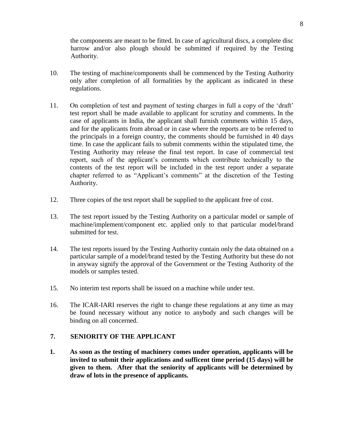the components are meant to be fitted. In case of agricultural discs, a complete disc harrow and/or also plough should be submitted if required by the Testing Authority.

- 10. The testing of machine/components shall be commenced by the Testing Authority only after completion of all formalities by the applicant as indicated in these regulations.
- 11. On completion of test and payment of testing charges in full a copy of the "draft" test report shall be made available to applicant for scrutiny and comments. In the case of applicants in India, the applicant shall furnish comments within 15 days, and for the applicants from abroad or in case where the reports are to be referred to the principals in a foreign country, the comments should be furnished in 40 days time. In case the applicant fails to submit comments within the stipulated time, the Testing Authority may release the final test report. In case of commercial test report, such of the applicant"s comments which contribute technically to the contents of the test report will be included in the test report under a separate chapter referred to as "Applicant's comments" at the discretion of the Testing Authority.
- 12. Three copies of the test report shall be supplied to the applicant free of cost.
- 13. The test report issued by the Testing Authority on a particular model or sample of machine/implement/component etc. applied only to that particular model/brand submitted for test.
- 14. The test reports issued by the Testing Authority contain only the data obtained on a particular sample of a model/brand tested by the Testing Authority but these do not in anyway signify the approval of the Government or the Testing Authority of the models or samples tested.
- 15. No interim test reports shall be issued on a machine while under test.
- 16. The ICAR-IARI reserves the right to change these regulations at any time as may be found necessary without any notice to anybody and such changes will be binding on all concerned.

#### **7. SENIORITY OF THE APPLICANT**

**1. As soon as the testing of machinery comes under operation, applicants will be invited to submit their applications and sufficent time period (15 days) will be given to them. After that the seniority of applicants will be determined by draw of lots in the presence of applicants.**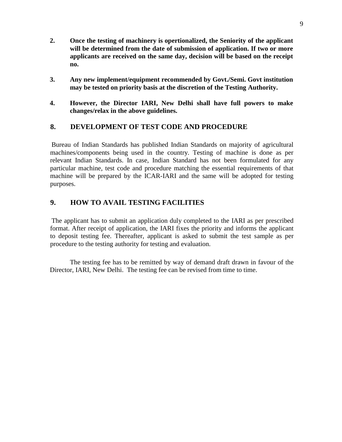- **2. Once the testing of machinery is opertionalized, the Seniority of the applicant will be determined from the date of submission of application. If two or more applicants are received on the same day, decision will be based on the receipt no.**
- **3. Any new implement/equipment recommended by Govt./Semi. Govt institution may be tested on priority basis at the discretion of the Testing Authority.**
- **4. However, the Director IARI, New Delhi shall have full powers to make changes/relax in the above guidelines.**

## **8. DEVELOPMENT OF TEST CODE AND PROCEDURE**

Bureau of Indian Standards has published Indian Standards on majority of agricultural machines/components being used in the country. Testing of machine is done as per relevant Indian Standards. In case, Indian Standard has not been formulated for any particular machine, test code and procedure matching the essential requirements of that machine will be prepared by the ICAR-IARI and the same will be adopted for testing purposes.

## **9. HOW TO AVAIL TESTING FACILITIES**

The applicant has to submit an application duly completed to the IARI as per prescribed format. After receipt of application, the IARI fixes the priority and informs the applicant to deposit testing fee. Thereafter, applicant is asked to submit the test sample as per procedure to the testing authority for testing and evaluation.

The testing fee has to be remitted by way of demand draft drawn in favour of the Director, IARI, New Delhi. The testing fee can be revised from time to time.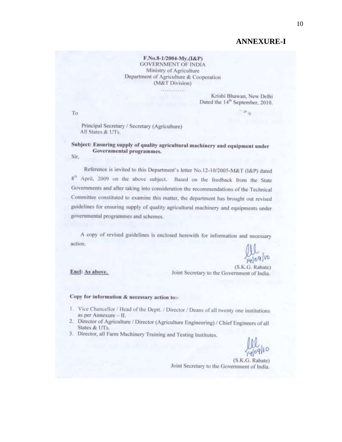## **ANNEXURE-I**

F.No.8-1/2004-My.(I&P) **GOVERNMENT OF INDIA** Ministry of Agriculture Department of Agriculture & Cooperation (M&T Division)

. . . . . . . . . . . . .

Krishi Bhawan, New Delhi Dated the 14<sup>th</sup> September, 2010.

To

Principal Secretary / Secretary (Agriculture) All States & UTs.

Subject: Ensuring supply of quality agricultural machinery and equipment under Governmental programmes. Sir.

Reference is invited to this Department's letter No.12-10/2005-M&T (I&P) dated 8<sup>th</sup> April, 2009 on the above subject. Based on the feedback from the State Governments and after taking into consideration the recommendations of the Technical Committee constituted to examine this matter, the department has brought out revised guidelines for ensuring supply of quality agricultural machinery and equipments under governmental programmes and schemes.

A copy of revised guidelines is enclosed herewith for information and necessary action.

 $10910$ 

Encl: As above.

(S.K.G. Rahate) Joint Secretary to the Government of India.

#### Copy for information & necessary action to:-

- 1. Vice Chancellor / Head of the Deptt. / Director / Deans of all twenty one institutions as per Annexure - II.
- 2. Director of Agriculture / Director (Agriculture Engineering) / Chief Engineers of all States & UTs.
- 3. Director, all Farm Machinery Training and Testing Institutes.

(S.K.G. Rahate) Joint Secretary to the Government of India.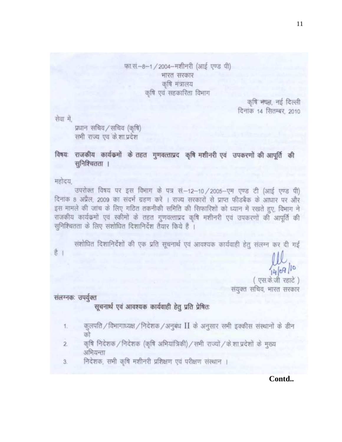फा.सं.-8-1 / 2004-मशीनरी (आई एण्ड पी) भारत सरकार कृषि मंत्रालय कृषि एवं सहकारिता विभाग

> कृषि भयत, नई दिल्ली दिनांक 14 सितम्बर, 2010

सेवा में,

प्रधान सचिव/सचिव (कृषि) समी राज्य एवं के शा प्रदेश

## विषयः राजकीय कार्यकर्मो के तहत गुणवत्ताप्रद कृषि मशीनरी एवं उपकरणों की आपूर्ति की सुनिश्चितता ।

महोदय,

उपरोक्त विषय पर इस विभाग के पत्र सं.-12-10 / 2005-एम एण्ड टी (आई एण्ड पी) दिनांक 8 अप्रैल, 2009 का संदर्भ ग्रहण करें । राज्य सरकारों से प्राप्त फीडबैक के आधार पर और इस मामले की जांच के लिए गठित तकनीकी समिति की सिफारिशों को ध्यान में रखते हुए, विभाग ने राजकीय कार्यक्रमों एवं स्कीमों के तहत गुणवत्ताप्रद कृषि मशीनरी एवं उपकरणों की आपूर्ति की सुनिश्चितता के लिए संशोधित दिशानिर्देश तैयार किये हैं ।

संशोधित दिशानिर्देशों की एक प्रति सूचनार्थ एवं आवश्यक कार्यवाही हेतु संलग्न कर दी गई

है ।

 $109/10$ 

एस.के.जी रहाटे ) संयुक्त सचिव, भारत सरकार

संलग्नकः उपर्युक्त

सूचनार्थ एवं आवश्यक कार्यवाही हेतु प्रति प्रेषितः

- कुलपति / विभागाध्यक्ष / निदेशक / अनुबंध  $\rm{II}$  के अनुसार सभी इक्कीस संस्थानों के डीन 1.
- कृषि निदेशक / निदेशक (कृषि अभियांत्रिकी) / सभी राज्यों / के शा प्रदेशों के मुख्य  $\overline{2}$ अभियन्ता
- निदेशक, सभी कृषि मशीनरी प्रशिक्षण एवं परीक्षण संस्थान । 3.

Contd..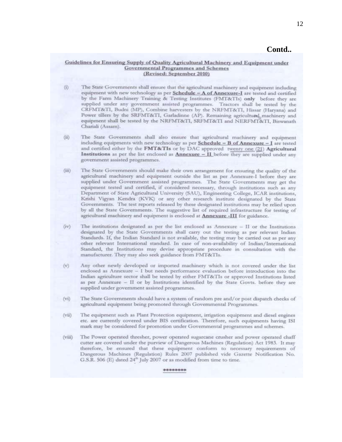#### Contd..

#### Guidelines for Ensuring Supply of Quality Agricultural Machinery and Equipment under **Governmental Programmes and Schemes** (Revised: September 2010)

- The State Governments shall ensure that the agricultural machinery and equipment including (i) equipment with new technology as per Schedule  $-A$  of Annexure-I are tested and certified by the Farm Machinery Training & Testing Institutes (FMT&TIs) only before they are supplied under any government assisted programmes. Tractors shall be tested by the CRFMT&T1, Budni (MP), Combine harvesters by the NRFMT&T1, Hissar (Haryana) and Power tillers by the SRFMT&TI, Garladinne (AP). Remaining agricultural machinery and equipment shall be tested by the NRFMT&TI, SRFMT&TI and NERFMT&TI, Biswanath Chariali (Assam).
- The State Governments shall also ensure that agricultural machinery and equipment  $(ii)$ including equipments with new technology as per Schedule - B of Annexure - I are tested and certified either by the FMT&TIs or by DAC approved twenty one (21) Agricultural **Institutions** as per the list enclosed as **Annexure**  $-$  **II** before they are supplied under any government assisted programmes.
- The State Governments should make their own arrangement for ensuring the quality of the  $(iii)$ agricultural machinery and equipment outside the list as per Annexure-I before they are supplied under Government assisted programmes. The State Governments may get the equipment tested and certified, if considered necessary, through institutions such as any Department of State Agricultural University (SAU), Engineering College, ICAR institutions, Krishi Vigyan Kendra (KVK) or any other research institute designated by the State Governments. The test reports released by these designated institutions may be relied upon by all the State Governments. The suggestive list of required infrastructure for testing of agricultural machinery and equipment is enclosed at **Annexure -III** for guidance.
- $(iv)$ The institutions designated as per the list enclosed as Annexure - II or the Institutions designated by the State Governments shall carry out the testing as per relevant Indian Standards. If, the Indian Standard is not available, the testing may be carried out as per any other relevant International standard. In case of non-availability of Indian/International Standard, the Institutions may devise appropriate procedure in consultation with the manufacturer. They may also seek guidance from FMT&TIs.
- Any other newly developed or imported machinery which is not covered under the list  $(v)$ enclosed as Annexure - I but needs performance evaluation before introduction into the Indian agriculture sector shall be tested by either FMT&TIs or approved Institutions listed as per Annexure - II or by Institutions identified by the State Govts. before they are supplied under government assisted programmes.
- $(vi)$ The State Governments should have a system of random pre and/or post dispatch checks of agricultural equipment being promoted through Governmental Programmes.
- The equipment such as Plant Protection equipment, irrigation equipment and diesel engines  $(vii)$ etc. are currently covered under BIS certification. Therefore, such equipments having ISI mark may be considered for promotion under Governmental programmes and schemes.
- The Power operated thresher, power operated sugarcane crusher and power operated chaff  $(viii)$ cutter are covered under the purview of Dangerous Machines (Regulation) Act 1983. It may therefore, be ensured that these equipment conform to necessary requirements of Dangerous Machines (Regulation) Rules 2007 published vide Gazette Notification No. G.S.R. 506 (E) dated 24<sup>th</sup> July 2007 or as modified from time to time.

本来地水水水水中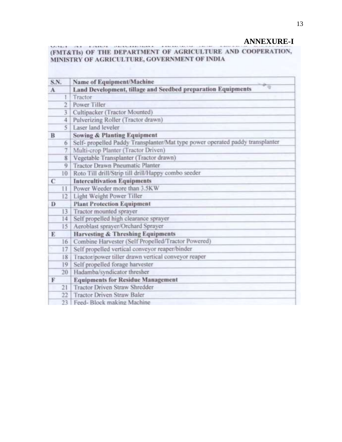## **ANNEXURE-I**

#### MATRIX CAR ASSAULT (FMT&TIs) OF THE DEPARTMENT OF AGRICULTURE AND COOPERATION, MINISTRY OF AGRICULTURE, GOVERNMENT OF INDIA

| S.N.      |              | Name of Equipment/Machine                                                     |  |  |  |
|-----------|--------------|-------------------------------------------------------------------------------|--|--|--|
| $\Lambda$ |              | Land Development, tillage and Seedbed preparation Equipments                  |  |  |  |
|           |              | Tractor                                                                       |  |  |  |
|           | 2            | Power Tiller                                                                  |  |  |  |
|           | 3            | Cultipacker (Tractor Mounted)                                                 |  |  |  |
|           | 4            | Pulverizing Roller (Tractor drawn)                                            |  |  |  |
|           | 5            | Laser land leveler                                                            |  |  |  |
| B         |              | <b>Sowing &amp; Planting Equipment</b>                                        |  |  |  |
|           | 6            | Self- propelled Paddy Transplanter/Mat type power operated paddy transplanter |  |  |  |
|           |              | Multi-crop Planter (Tractor Driven)                                           |  |  |  |
|           | 8            | Vegetable Transplanter (Tractor drawn)                                        |  |  |  |
|           | 9            | Tractor Drawn Pneumatic Planter                                               |  |  |  |
|           | 10           | Roto Till drill/Strip till drill/Happy combo seeder                           |  |  |  |
| C         |              | <b>Intercultivation Equipments</b>                                            |  |  |  |
|           | $\mathbf{1}$ | Power Weeder more than 3.5KW                                                  |  |  |  |
|           | 12           | Light Weight Power Tiller                                                     |  |  |  |
| D         |              | <b>Plant Protection Equipment</b>                                             |  |  |  |
|           | 13           | Tractor mounted sprayer                                                       |  |  |  |
|           | 14           | Self propelled high clearance sprayer                                         |  |  |  |
|           | 15           | Aeroblast sprayer/Orchard Sprayer                                             |  |  |  |
| E         |              | <b>Harvesting &amp; Threshing Equipments</b>                                  |  |  |  |
|           | 16           | Combine Harvester (Self Propelled/Tractor Powered)                            |  |  |  |
|           | 17           | Self propelled vertical conveyor reaper/binder                                |  |  |  |
|           | 18           | Tractor/power tiller drawn vertical conveyor reaper                           |  |  |  |
|           | 19           | Self propelled forage harvester                                               |  |  |  |
|           | 20           | Hadamba/syndicator thresher                                                   |  |  |  |
| F         |              | <b>Equipments for Residue Management</b>                                      |  |  |  |
|           | 21           | <b>Tractor Driven Straw Shredder</b>                                          |  |  |  |
|           | 22           | <b>Tractor Driven Straw Baler</b>                                             |  |  |  |
|           | 23           | Feed-Block making Machine                                                     |  |  |  |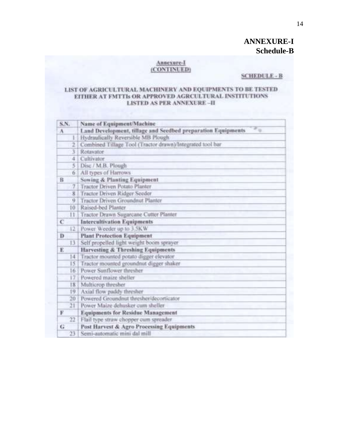## **ANNEXURE-I Schedule-B**

#### Annexure-I (CONTINUED)

#### **SCHEDULE - B**

#### LIST OF AGRICULTURAL MACHINERY AND EQUIPMENTS TO BE TESTED EITHER AT FMTTIs OR APPROVED AGRCULTURAL INSTITUTIONS **LISTED AS PER ANNEXURE-II**

| S.N.       | Name of Equipment/Machine                                    |  |  |  |
|------------|--------------------------------------------------------------|--|--|--|
| A          | Land Development, tillage and Seedbed preparation Equipments |  |  |  |
|            | Hydraulically Reversible MB Plough                           |  |  |  |
| 2          | Combined Tillage Tool (Tractor drawn)/Integrated tool bar    |  |  |  |
| 3          | Rotavator                                                    |  |  |  |
| 4          | Cultivator                                                   |  |  |  |
| 5          | Disc / M.B. Plough                                           |  |  |  |
| 6.         | All types of Harrows                                         |  |  |  |
| $_{\rm B}$ | Sowing & Planting Equipment                                  |  |  |  |
| 7          | <b>Tractor Driven Potato Planter</b>                         |  |  |  |
| 8          | Tractor Driven Ridger Seeder                                 |  |  |  |
| q.         | Tractor Driven Groundnut Planter                             |  |  |  |
| 10         | Raised-bed Planter                                           |  |  |  |
| 11         | Tractor Drawn Sugarcane Cutter Planter                       |  |  |  |
| C          | <b>Intercultivation Equipments</b>                           |  |  |  |
| 12         | Power Weeder up to 3.5KW                                     |  |  |  |
| Ð          | <b>Plant Protection Equipment</b>                            |  |  |  |
| 13         | Self propelled light weight boom sprayer                     |  |  |  |
| E          | Harvesting & Threshing Equipments                            |  |  |  |
| 14.        | Tractor mounted potato digger elevator                       |  |  |  |
| 15         | Tractor mounted groundnut digger shaker                      |  |  |  |
| 16         | Power Sunflower thresher                                     |  |  |  |
| 17         | Powered maize sheller                                        |  |  |  |
| 18         | Multicrop thresher                                           |  |  |  |
| 19         | Axial flow paddy thresher                                    |  |  |  |
| 20         | Powered Groundnut thresher/decorticator                      |  |  |  |
| 21         | Power Maize dehusker cum sheller                             |  |  |  |
| F          | <b>Equipments for Residue Management</b>                     |  |  |  |
| 22         | Flail type straw chopper cum spreader                        |  |  |  |
| G          | Post Harvest & Agro Processing Equipments                    |  |  |  |
| 23         | Semi-automatic mini dal mill                                 |  |  |  |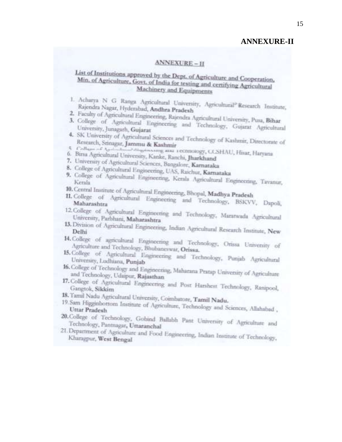#### **ANNEXURE-II**

#### **ANNEXURE-II**

## List of Institutions approved by the Dept. of Agriculture and Cooperation, Min. of Agriculture, Govt. of India for testing and certifying Agricultural Machinery and Equipments

- 1. Acharya N G Ranga Agricultural University, Agricultural<sup>p</sup> Research Institute, Rajendra Nagar, Hyderabad, Andhra Pradesh
- 
- 2. Faculty of Agricultural Engineering, Rajendra Agricultural University, Pusa, Bihar 3. College of Agricultural Engineering and Technology, Gujarat Agricultural University, Junagarh, Gujarat
- 4. SK University of Agricultural Sciences and Technology of Kashmir, Directorate of Research, Stinagar, Jammu & Kashmir
- 4 Collage of Againstan Magainsaning aim 1 CONTORY, CCSHAU, Hitar, Haryana 6. Birsa Agricultural University, Kanke, Ranchi, Jharkhand
- 
- 7. University of Agricultural Sciences, Bangalore, Karnataka
- 8. College of Agricultural Engineering, UAS, Raichur, Karnataka
- 9. College of Agricultural Engineering, Kerala Agricultural Engineering, Tavanur,
- 10. Central Institute of Agricultural Engineering, Bhopal, Madhya Pradesh
- 11. College of Agricultural Engineering and Technology, BSKVV, Dapoli,
- 12. College of Agricultural Engineering and Technology, Maratwada Agricultural University, Parbhani, Maharashtra
- 13. Division of Agricultural Engineering, Indian Agricultural Research Institute, New
- 14. College of agricultural Engineering and Technology, Orissa University of Agriculture and Technology, Bhubaneswar, Orissa.
- 15. College of Agricultural Engineering and Technology, Punjab Agricultural University, Ludhiana, Punjab
- 16. College of Technology and Engineering, Maharana Pratap University of Agriculture and Technology, Udaipur, Rajasthan
- 17. College of Agricultural Engineering and Post Harshest Technology, Ranipool, Gangtok, Sikkim
- 18. Tamil Nadu Agricultural University, Coimbatore, Tamil Nadu.
- 19. Sam Higginbottom Institute of Agriculture, Technology and Sciences, Allahabad,
- 20. College of Technology, Gobind Ballabh Pant University of Agriculture and Technology, Pantnagar, Uttaranchal
- 21. Department of Agriculture and Food Engineering, Indian Institute of Technology, Kharagpur, West Bengal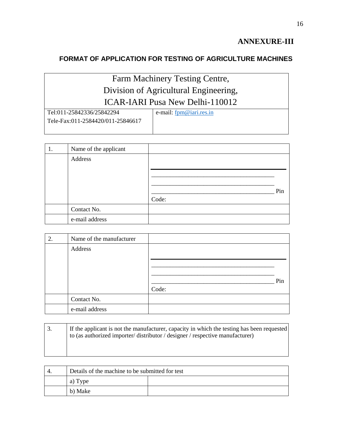## **ANNEXURE-III**

## **FORMAT OF APPLICATION FOR TESTING OF AGRICULTURE MACHINES**

## Farm Machinery Testing Centre, Division of Agricultural Engineering, ICAR-IARI Pusa New Delhi-110012

| Tel:011-25842336/25842294         | e-mail: <u>fpm@iari.res.in</u> |
|-----------------------------------|--------------------------------|
| Tele-Fax:011-2584420/011-25846617 |                                |
|                                   |                                |

| 1. | Name of the applicant |       |     |
|----|-----------------------|-------|-----|
|    | Address               |       |     |
|    |                       |       |     |
|    |                       |       |     |
|    |                       |       | Pin |
|    |                       | Code: |     |
|    | Contact No.           |       |     |
|    | e-mail address        |       |     |

| 2. | Name of the manufacturer |       |     |
|----|--------------------------|-------|-----|
|    | Address                  |       |     |
|    |                          |       |     |
|    |                          |       |     |
|    |                          |       | Pin |
|    |                          | Code: |     |
|    | Contact No.              |       |     |
|    | e-mail address           |       |     |

| If the applicant is not the manufacturer, capacity in which the testing has been requested<br>to (as authorized importer/distributor / designer / respective manufacturer) |
|----------------------------------------------------------------------------------------------------------------------------------------------------------------------------|
|                                                                                                                                                                            |

| -4. | Details of the machine to be submitted for test |  |  |
|-----|-------------------------------------------------|--|--|
|     | a)<br>1 Vpe                                     |  |  |
|     | b) Make                                         |  |  |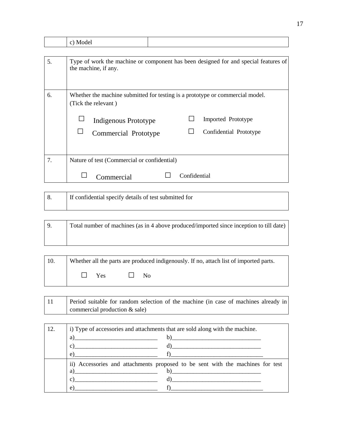|    | c) Model                                                                                                                                                                                             |
|----|------------------------------------------------------------------------------------------------------------------------------------------------------------------------------------------------------|
|    |                                                                                                                                                                                                      |
| 5. | Type of work the machine or component has been designed for and special features of<br>the machine, if any.                                                                                          |
| 6. | Whether the machine submitted for testing is a prototype or commercial model.<br>(Tick the relevant)<br>Imported Prototype<br>Indigenous Prototype<br>Confidential Prototype<br>Commercial Prototype |
| 7. | Nature of test (Commercial or confidential)                                                                                                                                                          |
|    | Confidential<br>Commercial                                                                                                                                                                           |

| If confidential specify details of test submitted for |
|-------------------------------------------------------|
|                                                       |

| <u>i 9</u> | Total number of machines (as in 4 above produced/imported since inception to till date) |
|------------|-----------------------------------------------------------------------------------------|
|            |                                                                                         |

| $\vert$ 10. | Whether all the parts are produced indigenously. If no, attach list of imported parts. |            |  |              |
|-------------|----------------------------------------------------------------------------------------|------------|--|--------------|
|             |                                                                                        | $\Box$ Yes |  | $N_{\Omega}$ |

| Period suitable for random selection of the machine (in case of machines already in |
|-------------------------------------------------------------------------------------|
| commercial production $&$ sale)                                                     |

<u> 1980 - Johann Stoff, deutscher Stoffen und der Stoffen und der Stoffen und der Stoffen und der Stoffen und de</u>

| 12. | i) Type of accessories and attachments that are sold along with the machine.   |  |  |  |
|-----|--------------------------------------------------------------------------------|--|--|--|
|     | $\alpha$ )<br>$\mathbf{b}$ )                                                   |  |  |  |
|     | c)<br>$\mathbf{d}$ )                                                           |  |  |  |
|     | e)                                                                             |  |  |  |
|     | ii) Accessories and attachments proposed to be sent with the machines for test |  |  |  |
|     | $\mathbf{b}$ )<br>a)                                                           |  |  |  |
|     | d)<br>C)                                                                       |  |  |  |
|     | e)                                                                             |  |  |  |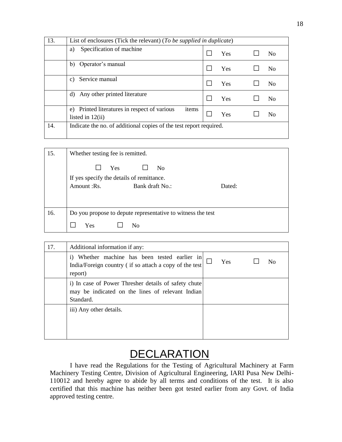| 13. | List of enclosures (Tick the relevant) (To be supplied in duplicate)           |     |  |                |
|-----|--------------------------------------------------------------------------------|-----|--|----------------|
|     | Specification of machine<br>a)                                                 | Yes |  | No             |
|     | Operator's manual<br>b)                                                        | Yes |  | N <sub>0</sub> |
|     | Service manual<br>C)                                                           | Yes |  | N <sub>0</sub> |
|     | Any other printed literature<br>d)                                             | Yes |  | No             |
|     | Printed literatures in respect of various<br>items<br>e)<br>listed in $12(ii)$ | Yes |  | No             |
| 14. | Indicate the no. of additional copies of the test report required.             |     |  |                |

| 15. | Whether testing fee is remitted.                                                                     |        |  |  |  |
|-----|------------------------------------------------------------------------------------------------------|--------|--|--|--|
|     | Yes<br>N <sub>0</sub><br>If yes specify the details of remittance.<br>Amount :Rs.<br>Bank draft No.: | Dated: |  |  |  |
| 16. | Do you propose to depute representative to witness the test                                          |        |  |  |  |
|     | <b>Yes</b><br>N <sub>0</sub>                                                                         |        |  |  |  |

| 17. | Additional information if any:                                                                                        |            |    |
|-----|-----------------------------------------------------------------------------------------------------------------------|------------|----|
|     | Whether machine has been tested earlier in<br>1)<br>India/Foreign country (if so attach a copy of the test<br>report) | <b>Yes</b> | Nο |
|     | i) In case of Power Thresher details of safety chute<br>may be indicated on the lines of relevant Indian<br>Standard. |            |    |
|     | iii) Any other details.                                                                                               |            |    |

# **DECLARATION**

I have read the Regulations for the Testing of Agricultural Machinery at Farm Machinery Testing Centre, Division of Agricultural Engineering, IARI Pusa New Delhi-110012 and hereby agree to abide by all terms and conditions of the test. It is also certified that this machine has neither been got tested earlier from any Govt. of India approved testing centre.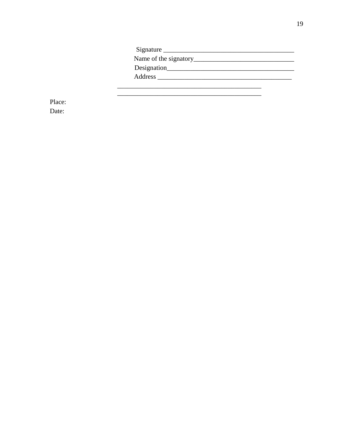| Signature   |
|-------------|
|             |
| Designation |
| Address     |
|             |

Place: Date: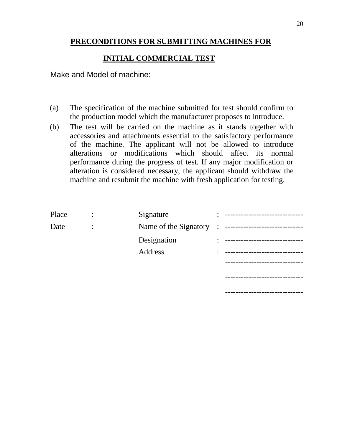## **PRECONDITIONS FOR SUBMITTING MACHINES FOR**

## **INITIAL COMMERCIAL TEST**

Make and Model of machine:

- (a) The specification of the machine submitted for test should confirm to the production model which the manufacturer proposes to introduce.
- (b) The test will be carried on the machine as it stands together with accessories and attachments essential to the satisfactory performance of the machine. The applicant will not be allowed to introduce alterations or modifications which should affect its normal performance during the progress of test. If any major modification or alteration is considered necessary, the applicant should withdraw the machine and resubmit the machine with fresh application for testing.

| Place | Signature               |  |
|-------|-------------------------|--|
| Date  | Name of the Signatory : |  |
|       | Designation             |  |
|       | Address                 |  |
|       |                         |  |
|       |                         |  |
|       |                         |  |